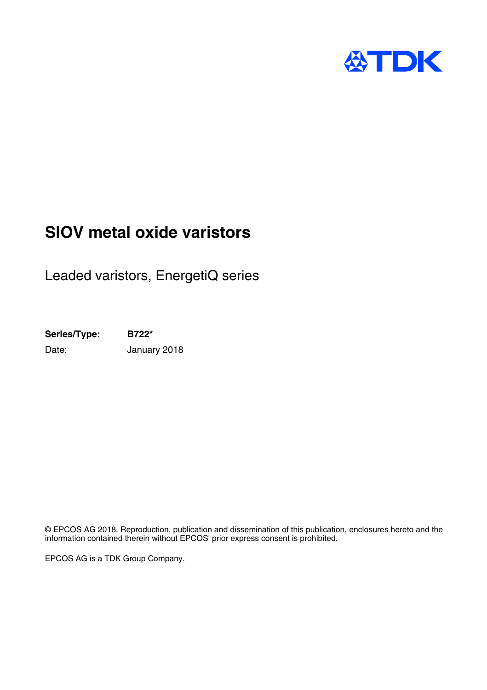

# **SIOV metal oxide varistors**

Leaded varistors, EnergetiQ series

**Series/Type: B722\*** Date: **January 2018** 

© EPCOS AG 2018. Reproduction, publication and dissemination of this publication, enclosures hereto and the information contained therein without EPCOS' prior express consent is prohibited.

EPCOS AG is a TDK Group Company.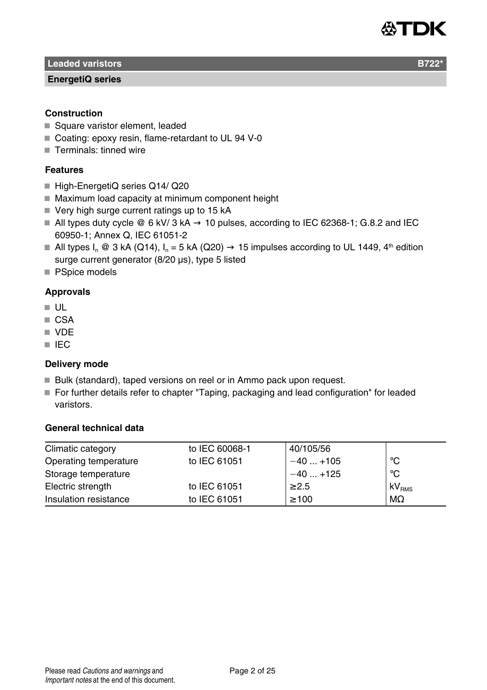

**Leaded varistors B722** 

#### **EnergetiQ series**

# **Construction**

- Square varistor element, leaded
- Coating: epoxy resin, flame-retardant to UL 94 V-0
- Terminals: tinned wire

# **Features**

- High-EnergetiQ series Q14/ Q20
- Maximum load capacity at minimum component height
- $\blacksquare$  Very high surge current ratings up to 15 kA
- All types duty cycle  $\mathcal{Q}$  6 kV/ 3 kA  $\rightarrow$  10 pulses, according to IEC 62368-1; G.8.2 and IEC 60950-1; Annex Q, IEC 61051-2
- All types I<sub>n</sub> @ 3 kA (Q14),  $I_n = 5$  kA (Q20)  $\rightarrow$  15 impulses according to UL 1449, 4<sup>th</sup> edition surge current generator (8/20 µs), type 5 listed
- **PSpice models**

# **Approvals**

- $\blacksquare$  UL
- CSA
- VDE
- **III** IEC

### **Delivery mode**

- Bulk (standard), taped versions on reel or in Ammo pack upon request.
- For further details refer to chapter "Taping, packaging and lead configuration" for leaded varistors.

# **General technical data**

| Climatic category     | to IEC 60068-1 | 40/105/56  |                   |
|-----------------------|----------------|------------|-------------------|
| Operating temperature | to IEC 61051   | $-40+105$  | °C                |
| Storage temperature   |                | $-40+125$  | °C                |
| Electric strength     | to IEC 61051   | $\geq 2.5$ | kV <sub>RMS</sub> |
| Insulation resistance | to IEC 61051   | $\geq 100$ | $M\Omega$         |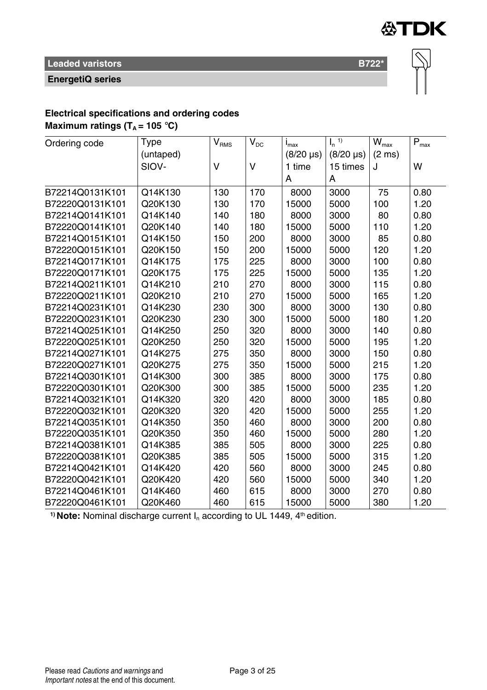

**EnergetiQ series**

 $\overline{\infty}$ 

# **Electrical specifications and ordering codes**

**Maximum ratings (** $T_A$  **= 105 °C)** 

| Ordering code   | Type      | $\mathsf{V}_{\textsc{RMS}}$ | $\rm V_{\rm DC}$ | İ <sub>max</sub> | $\mathsf{I}_n$ <sup>1)</sup> | $\overline{W}_{\text{max}}$ | $\mathsf{P}_{\mathsf{max}}$ |
|-----------------|-----------|-----------------------------|------------------|------------------|------------------------------|-----------------------------|-----------------------------|
|                 | (untaped) |                             |                  | $(8/20 \,\mu s)$ | $(8/20 \,\mu s)$             | $(2 \text{ ms})$            |                             |
|                 | SIOV-     | V                           | $\vee$           | 1 time           | 15 times                     | J                           | W                           |
|                 |           |                             |                  | A                | A                            |                             |                             |
| B72214Q0131K101 | Q14K130   | 130                         | 170              | 8000             | 3000                         | 75                          | 0.80                        |
| B72220Q0131K101 | Q20K130   | 130                         | 170              | 15000            | 5000                         | 100                         | 1.20                        |
| B72214Q0141K101 | Q14K140   | 140                         | 180              | 8000             | 3000                         | 80                          | 0.80                        |
| B72220Q0141K101 | Q20K140   | 140                         | 180              | 15000            | 5000                         | 110                         | 1.20                        |
| B72214Q0151K101 | Q14K150   | 150                         | 200              | 8000             | 3000                         | 85                          | 0.80                        |
| B72220Q0151K101 | Q20K150   | 150                         | 200              | 15000            | 5000                         | 120                         | 1.20                        |
| B72214Q0171K101 | Q14K175   | 175                         | 225              | 8000             | 3000                         | 100                         | 0.80                        |
| B72220Q0171K101 | Q20K175   | 175                         | 225              | 15000            | 5000                         | 135                         | 1.20                        |
| B72214Q0211K101 | Q14K210   | 210                         | 270              | 8000             | 3000                         | 115                         | 0.80                        |
| B72220Q0211K101 | Q20K210   | 210                         | 270              | 15000            | 5000                         | 165                         | 1.20                        |
| B72214Q0231K101 | Q14K230   | 230                         | 300              | 8000             | 3000                         | 130                         | 0.80                        |
| B72220Q0231K101 | Q20K230   | 230                         | 300              | 15000            | 5000                         | 180                         | 1.20                        |
| B72214Q0251K101 | Q14K250   | 250                         | 320              | 8000             | 3000                         | 140                         | 0.80                        |
| B72220Q0251K101 | Q20K250   | 250                         | 320              | 15000            | 5000                         | 195                         | 1.20                        |
| B72214Q0271K101 | Q14K275   | 275                         | 350              | 8000             | 3000                         | 150                         | 0.80                        |
| B72220Q0271K101 | Q20K275   | 275                         | 350              | 15000            | 5000                         | 215                         | 1.20                        |
| B72214Q0301K101 | Q14K300   | 300                         | 385              | 8000             | 3000                         | 175                         | 0.80                        |
| B72220Q0301K101 | Q20K300   | 300                         | 385              | 15000            | 5000                         | 235                         | 1.20                        |
| B72214Q0321K101 | Q14K320   | 320                         | 420              | 8000             | 3000                         | 185                         | 0.80                        |
| B72220Q0321K101 | Q20K320   | 320                         | 420              | 15000            | 5000                         | 255                         | 1.20                        |
| B72214Q0351K101 | Q14K350   | 350                         | 460              | 8000             | 3000                         | 200                         | 0.80                        |
| B72220Q0351K101 | Q20K350   | 350                         | 460              | 15000            | 5000                         | 280                         | 1.20                        |
| B72214Q0381K101 | Q14K385   | 385                         | 505              | 8000             | 3000                         | 225                         | 0.80                        |
| B72220Q0381K101 | Q20K385   | 385                         | 505              | 15000            | 5000                         | 315                         | 1.20                        |
| B72214Q0421K101 | Q14K420   | 420                         | 560              | 8000             | 3000                         | 245                         | 0.80                        |
| B72220Q0421K101 | Q20K420   | 420                         | 560              | 15000            | 5000                         | 340                         | 1.20                        |
| B72214Q0461K101 | Q14K460   | 460                         | 615              | 8000             | 3000                         | 270                         | 0.80                        |
| B72220Q0461K101 | Q20K460   | 460                         | 615              | 15000            | 5000                         | 380                         | 1.20                        |

<sup>1)</sup> **Note:** Nominal discharge current  $I_n$  according to UL 1449,  $4<sup>th</sup>$  edition.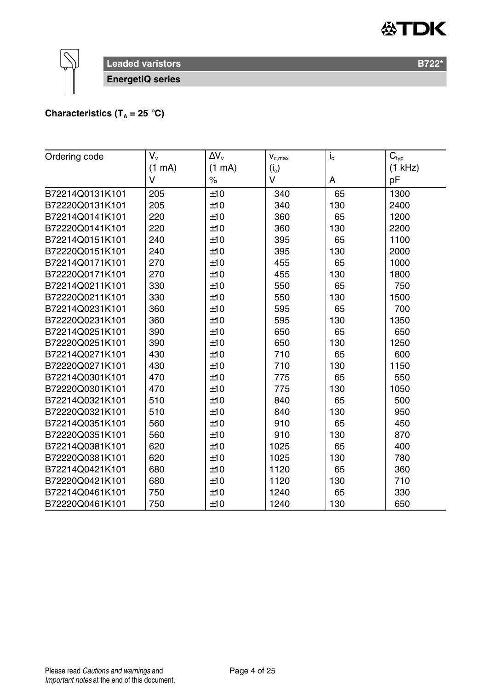

**Leaded varistors B722\*** B722\*

**EnergetiQ series**

# **Characteristics (T<sub>A</sub> = 25 °C)**

| Ordering code   | $V_{v}$ | $\Delta V_{\rm v}$ | $\mathbf{V}_{\text{c,max}}$ | $I_{c}$ | $\mathbf{\bar{C}}_{\text{typ}}$ |
|-----------------|---------|--------------------|-----------------------------|---------|---------------------------------|
|                 | (1 mA)  | (1 mA)             | $(i_c)$                     |         | $(1$ kHz)                       |
|                 | V       | $\%$               | V                           | A       | pF                              |
| B72214Q0131K101 | 205     | ±10                | 340                         | 65      | 1300                            |
| B72220Q0131K101 | 205     | ±10                | 340                         | 130     | 2400                            |
| B72214Q0141K101 | 220     | ±10                | 360                         | 65      | 1200                            |
| B72220Q0141K101 | 220     | ±10                | 360                         | 130     | 2200                            |
| B72214Q0151K101 | 240     | ±10                | 395                         | 65      | 1100                            |
| B72220Q0151K101 | 240     | ±10                | 395                         | 130     | 2000                            |
| B72214Q0171K101 | 270     | ±10                | 455                         | 65      | 1000                            |
| B72220Q0171K101 | 270     | ±10                | 455                         | 130     | 1800                            |
| B72214Q0211K101 | 330     | ±10                | 550                         | 65      | 750                             |
| B72220Q0211K101 | 330     | ±10                | 550                         | 130     | 1500                            |
| B72214Q0231K101 | 360     | ±10                | 595                         | 65      | 700                             |
| B72220Q0231K101 | 360     | ±10                | 595                         | 130     | 1350                            |
| B72214Q0251K101 | 390     | ±10                | 650                         | 65      | 650                             |
| B72220Q0251K101 | 390     | ±10                | 650                         | 130     | 1250                            |
| B72214Q0271K101 | 430     | ±10                | 710                         | 65      | 600                             |
| B72220Q0271K101 | 430     | ±10                | 710                         | 130     | 1150                            |
| B72214Q0301K101 | 470     | ±10                | 775                         | 65      | 550                             |
| B72220Q0301K101 | 470     | ±10                | 775                         | 130     | 1050                            |
| B72214Q0321K101 | 510     | ±10                | 840                         | 65      | 500                             |
| B72220Q0321K101 | 510     | ±10                | 840                         | 130     | 950                             |
| B72214Q0351K101 | 560     | ±10                | 910                         | 65      | 450                             |
| B72220Q0351K101 | 560     | ±10                | 910                         | 130     | 870                             |
| B72214Q0381K101 | 620     | ±10                | 1025                        | 65      | 400                             |
| B72220Q0381K101 | 620     | ±10                | 1025                        | 130     | 780                             |
| B72214Q0421K101 | 680     | ±10                | 1120                        | 65      | 360                             |
| B72220Q0421K101 | 680     | ±10                | 1120                        | 130     | 710                             |
| B72214Q0461K101 | 750     | ±10                | 1240                        | 65      | 330                             |
| B72220Q0461K101 | 750     | ±10                | 1240                        | 130     | 650                             |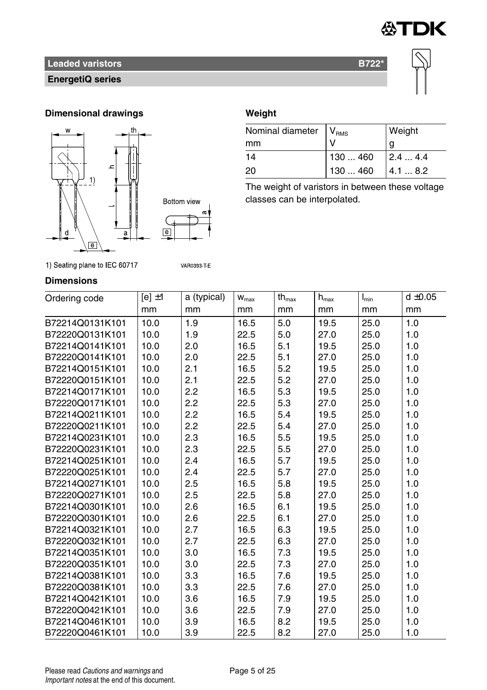

# **EnergetiQ series**



# **Dimensional drawings Weight**





**VAR0393 T E** 

| Nominal diameter   V <sub>RMS</sub> |          | Weight |
|-------------------------------------|----------|--------|
| mm                                  |          | g      |
| 14                                  | 130460   | 2.44.4 |
| 20                                  | 130  460 | 4.18.2 |

The weight of varistors in between these voltage classes can be interpolated.

# 1) Seating plane to IEC 60717

# **Dimensions**

| Ordering code   | $[e] \pm 1$ | a (typical) | $\mathbf{W}_{\text{max}}$ | $th_{\text{max}}$ | $h_{\text{max}}$ | $I_{\min}$ | $d \pm 0.05$ |
|-----------------|-------------|-------------|---------------------------|-------------------|------------------|------------|--------------|
|                 | mm          | mm          | mm                        | mm                | mm               | mm         | mm           |
| B72214Q0131K101 | 10.0        | 1.9         | 16.5                      | 5.0               | 19.5             | 25.0       | 1.0          |
| B72220Q0131K101 | 10.0        | 1.9         | 22.5                      | 5.0               | 27.0             | 25.0       | 1.0          |
| B72214Q0141K101 | 10.0        | 2.0         | 16.5                      | 5.1               | 19.5             | 25.0       | 1.0          |
| B72220Q0141K101 | 10.0        | 2.0         | 22.5                      | 5.1               | 27.0             | 25.0       | 1.0          |
| B72214Q0151K101 | 10.0        | 2.1         | 16.5                      | 5.2               | 19.5             | 25.0       | 1.0          |
| B72220Q0151K101 | 10.0        | 2.1         | 22.5                      | 5.2               | 27.0             | 25.0       | 1.0          |
| B72214Q0171K101 | 10.0        | 2.2         | 16.5                      | 5.3               | 19.5             | 25.0       | 1.0          |
| B72220Q0171K101 | 10.0        | 2.2         | 22.5                      | 5.3               | 27.0             | 25.0       | 1.0          |
| B72214Q0211K101 | 10.0        | 2.2         | 16.5                      | 5.4               | 19.5             | 25.0       | 1.0          |
| B72220Q0211K101 | 10.0        | 2.2         | 22.5                      | 5.4               | 27.0             | 25.0       | 1.0          |
| B72214Q0231K101 | 10.0        | 2.3         | 16.5                      | 5.5               | 19.5             | 25.0       | 1.0          |
| B72220Q0231K101 | 10.0        | 2.3         | 22.5                      | 5.5               | 27.0             | 25.0       | 1.0          |
| B72214Q0251K101 | 10.0        | 2.4         | 16.5                      | 5.7               | 19.5             | 25.0       | 1.0          |
| B72220Q0251K101 | 10.0        | 2.4         | 22.5                      | 5.7               | 27.0             | 25.0       | 1.0          |
| B72214Q0271K101 | 10.0        | 2.5         | 16.5                      | 5.8               | 19.5             | 25.0       | 1.0          |
| B72220Q0271K101 | 10.0        | 2.5         | 22.5                      | 5.8               | 27.0             | 25.0       | 1.0          |
| B72214Q0301K101 | 10.0        | 2.6         | 16.5                      | 6.1               | 19.5             | 25.0       | 1.0          |
| B72220Q0301K101 | 10.0        | 2.6         | 22.5                      | 6.1               | 27.0             | 25.0       | 1.0          |
| B72214Q0321K101 | 10.0        | 2.7         | 16.5                      | 6.3               | 19.5             | 25.0       | 1.0          |
| B72220Q0321K101 | 10.0        | 2.7         | 22.5                      | 6.3               | 27.0             | 25.0       | 1.0          |
| B72214Q0351K101 | 10.0        | 3.0         | 16.5                      | 7.3               | 19.5             | 25.0       | 1.0          |
| B72220Q0351K101 | 10.0        | 3.0         | 22.5                      | 7.3               | 27.0             | 25.0       | 1.0          |
| B72214Q0381K101 | 10.0        | 3.3         | 16.5                      | 7.6               | 19.5             | 25.0       | 1.0          |
| B72220Q0381K101 | 10.0        | 3.3         | 22.5                      | 7.6               | 27.0             | 25.0       | 1.0          |
| B72214Q0421K101 | 10.0        | 3.6         | 16.5                      | 7.9               | 19.5             | 25.0       | 1.0          |
| B72220Q0421K101 | 10.0        | 3.6         | 22.5                      | 7.9               | 27.0             | 25.0       | 1.0          |
| B72214Q0461K101 | 10.0        | 3.9         | 16.5                      | 8.2               | 19.5             | 25.0       | 1.0          |
| B72220Q0461K101 | 10.0        | 3.9         | 22.5                      | 8.2               | 27.0             | 25.0       | 1.0          |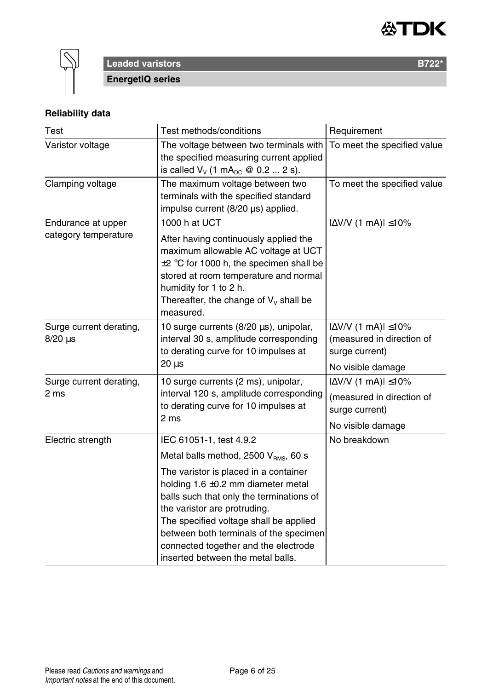



**Leaded varistors B722\* EnergetiQ series**

# **Reliability data**

| Test                                       | Test methods/conditions                                                                                                                                                                                                                                                                                                       | Requirement                                                                                            |
|--------------------------------------------|-------------------------------------------------------------------------------------------------------------------------------------------------------------------------------------------------------------------------------------------------------------------------------------------------------------------------------|--------------------------------------------------------------------------------------------------------|
| Varistor voltage                           | The voltage between two terminals with<br>the specified measuring current applied<br>is called $V_v$ (1 mA <sub>pc</sub> @ 0.2  2 s).                                                                                                                                                                                         | To meet the specified value                                                                            |
| Clamping voltage                           | The maximum voltage between two<br>terminals with the specified standard<br>impulse current (8/20 µs) applied.                                                                                                                                                                                                                | To meet the specified value                                                                            |
| Endurance at upper<br>category temperature | 1000 h at UCT<br>After having continuously applied the<br>maximum allowable AC voltage at UCT<br>±2 °C for 1000 h, the specimen shall be<br>stored at room temperature and normal<br>humidity for 1 to 2 h.<br>Thereafter, the change of $V_v$ shall be<br>measured.                                                          | $ \Delta$ V/V (1 mA) $ \leq$ 10%                                                                       |
| Surge current derating,<br>$8/20 \,\mu s$  | 10 surge currents (8/20 µs), unipolar,<br>interval 30 s, amplitude corresponding<br>to derating curve for 10 impulses at<br>$20 \mu s$                                                                                                                                                                                        | $ \Delta V/V $ (1 mA) $ \leq 10\%$<br>(measured in direction of<br>surge current)<br>No visible damage |
| Surge current derating,<br>2 ms            | 10 surge currents (2 ms), unipolar,<br>interval 120 s, amplitude corresponding<br>to derating curve for 10 impulses at<br>2 ms                                                                                                                                                                                                | $ \Delta V/V$ (1 mA) $ \leq 10\%$<br>(measured in direction of<br>surge current)<br>No visible damage  |
| Electric strength                          | IEC 61051-1, test 4.9.2<br>Metal balls method, 2500 V <sub>BMS</sub> , 60 s                                                                                                                                                                                                                                                   | No breakdown                                                                                           |
|                                            | The varistor is placed in a container<br>holding $1.6 \pm 0.2$ mm diameter metal<br>balls such that only the terminations of<br>the varistor are protruding.<br>The specified voltage shall be applied<br>between both terminals of the specimen<br>connected together and the electrode<br>inserted between the metal balls. |                                                                                                        |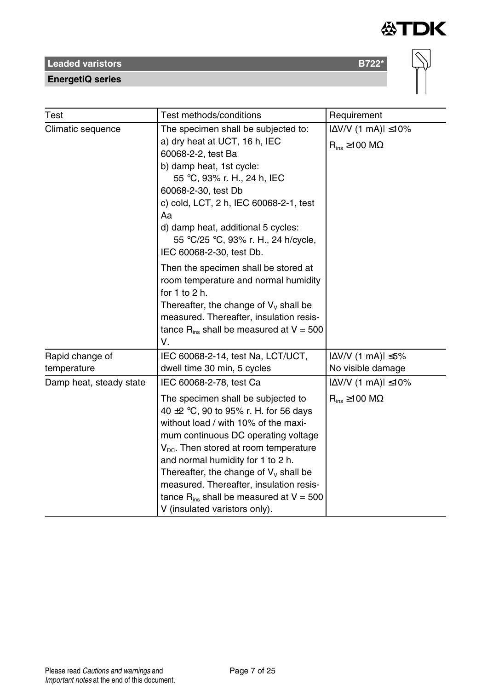**EnergetiQ series**

| Test                           | Test methods/conditions                                                                                                                                                                                                                                                                                                                                                                                                                                        | Requirement                                                        |
|--------------------------------|----------------------------------------------------------------------------------------------------------------------------------------------------------------------------------------------------------------------------------------------------------------------------------------------------------------------------------------------------------------------------------------------------------------------------------------------------------------|--------------------------------------------------------------------|
| Climatic sequence              | $ \Delta V/V$ (1 mA) $ \leq 10\%$<br>$R_{ins} \ge 100$ M $\Omega$                                                                                                                                                                                                                                                                                                                                                                                              |                                                                    |
|                                | Then the specimen shall be stored at<br>room temperature and normal humidity<br>for $1$ to $2$ h.<br>Thereafter, the change of $V_v$ shall be<br>measured. Thereafter, insulation resis-<br>tance $R_{ins}$ shall be measured at $V = 500$<br>V.                                                                                                                                                                                                               |                                                                    |
| Rapid change of<br>temperature | IEC 60068-2-14, test Na, LCT/UCT,<br>dwell time 30 min, 5 cycles                                                                                                                                                                                                                                                                                                                                                                                               | $ \Delta V/V$ (1 mA) $ \leq 5\%$<br>No visible damage              |
| Damp heat, steady state        | IEC 60068-2-78, test Ca<br>The specimen shall be subjected to<br>40 $\pm$ 2 °C, 90 to 95% r. H. for 56 days<br>without load / with 10% of the maxi-<br>mum continuous DC operating voltage<br>$V_{\text{DC}}$ . Then stored at room temperature<br>and normal humidity for 1 to 2 h.<br>Thereafter, the change of $V_v$ shall be<br>measured. Thereafter, insulation resis-<br>tance $R_{ins}$ shall be measured at $V = 500$<br>V (insulated varistors only). | $ \Delta V/V $ (1 mA) $ \leq 10\%$<br>$R_{ins} \ge 100$ M $\Omega$ |

 $\overline{\infty}$ 

**公TDK**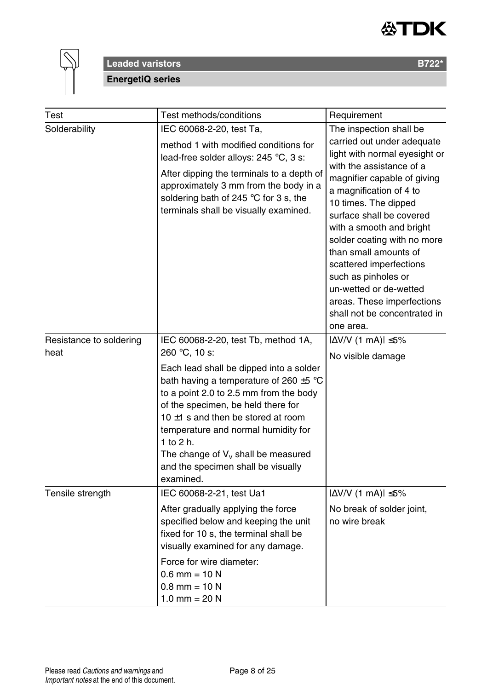



# **Leaded varistors B722\* EnergetiQ series**

| Test                    | Test methods/conditions                                                                                                                                                                                                                                                                                                                                           | Requirement                                                                                                                                                                                                                                                         |  |
|-------------------------|-------------------------------------------------------------------------------------------------------------------------------------------------------------------------------------------------------------------------------------------------------------------------------------------------------------------------------------------------------------------|---------------------------------------------------------------------------------------------------------------------------------------------------------------------------------------------------------------------------------------------------------------------|--|
| Solderability           | IEC 60068-2-20, test Ta,<br>method 1 with modified conditions for<br>lead-free solder alloys: 245 °C, 3 s:<br>After dipping the terminals to a depth of<br>approximately 3 mm from the body in a<br>soldering bath of 245 $\degree$ C for 3 s, the<br>terminals shall be visually examined.                                                                       | The inspection shall be<br>carried out under adequate<br>light with normal eyesight or<br>with the assistance of a<br>magnifier capable of giving<br>a magnification of 4 to<br>10 times. The dipped                                                                |  |
|                         |                                                                                                                                                                                                                                                                                                                                                                   | surface shall be covered<br>with a smooth and bright<br>solder coating with no more<br>than small amounts of<br>scattered imperfections<br>such as pinholes or<br>un-wetted or de-wetted<br>areas. These imperfections<br>shall not be concentrated in<br>one area. |  |
| Resistance to soldering | IEC 60068-2-20, test Tb, method 1A,                                                                                                                                                                                                                                                                                                                               | $ \Delta$ V/V (1 mA) $ \leq$ 5%                                                                                                                                                                                                                                     |  |
| heat                    | 260 °C, 10 s:                                                                                                                                                                                                                                                                                                                                                     | No visible damage                                                                                                                                                                                                                                                   |  |
|                         | Each lead shall be dipped into a solder<br>bath having a temperature of 260 $\pm$ 5 °C<br>to a point 2.0 to 2.5 mm from the body<br>of the specimen, be held there for<br>10 $\pm$ 1 s and then be stored at room<br>temperature and normal humidity for<br>1 to 2 h.<br>The change of $V_v$ shall be measured<br>and the specimen shall be visually<br>examined. |                                                                                                                                                                                                                                                                     |  |
| Tensile strength        | IEC 60068-2-21, test Ua1<br>After gradually applying the force<br>specified below and keeping the unit<br>fixed for 10 s, the terminal shall be<br>visually examined for any damage.                                                                                                                                                                              | $ \Delta V/V$ (1 mA) $ \leq 5\%$<br>No break of solder joint,<br>no wire break                                                                                                                                                                                      |  |
|                         | Force for wire diameter:<br>$0.6$ mm = 10 N<br>$0.8$ mm = 10 N<br>1.0 mm = $20 N$                                                                                                                                                                                                                                                                                 |                                                                                                                                                                                                                                                                     |  |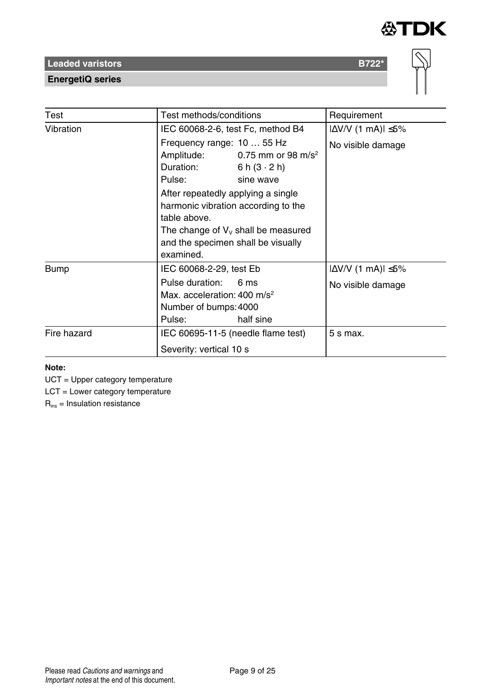

**EnergetiQ series**

| Test        | Test methods/conditions                                                                                                                                                                                                                                                                                                        | Requirement                                           |
|-------------|--------------------------------------------------------------------------------------------------------------------------------------------------------------------------------------------------------------------------------------------------------------------------------------------------------------------------------|-------------------------------------------------------|
| Vibration   | IEC 60068-2-6, test Fc, method B4                                                                                                                                                                                                                                                                                              | $ \Delta V/V$ (1 mA) $ \leq 5\%$                      |
|             | Frequency range: 10  55 Hz<br>Amplitude: $0.75$ mm or 98 m/s <sup>2</sup><br>Duration:<br>6 h $(3 \cdot 2)$ h)<br>Pulse:<br>sine wave<br>After repeatedly applying a single<br>harmonic vibration according to the<br>table above.<br>The change of $V_v$ shall be measured<br>and the specimen shall be visually<br>examined. | No visible damage                                     |
| Bump        | IEC 60068-2-29, test Eb<br>Pulse duration:<br>6 ms<br>Max. acceleration: $400 \text{ m/s}^2$<br>Number of bumps: 4000<br>half sine<br>Pulse:                                                                                                                                                                                   | $ \Delta V/V$ (1 mA) $ \leq 5\%$<br>No visible damage |
| Fire hazard | IEC 60695-11-5 (needle flame test)<br>Severity: vertical 10 s                                                                                                                                                                                                                                                                  | 5 s max.                                              |

### **Note:**

UCT = Upper category temperature

LCT = Lower category temperature

 $R_{ins}$  = Insulation resistance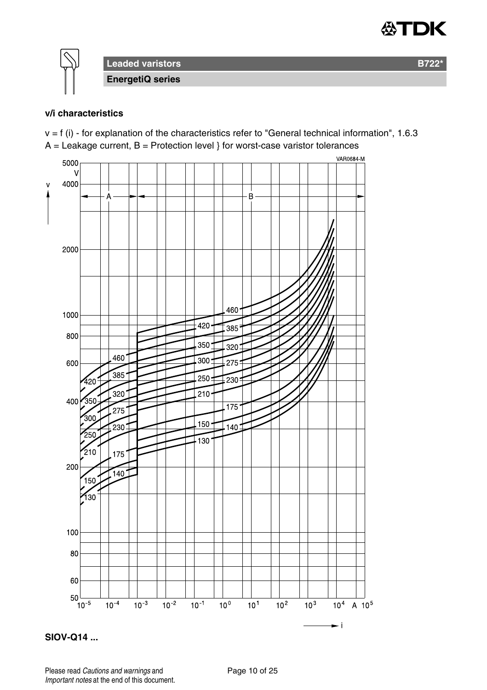



**Leaded varistors B722\* EnergetiQ series**

### **v/i characteristics**

 $v = f(i)$  - for explanation of the characteristics refer to "General technical information", 1.6.3  $A =$  Leakage current,  $B =$  Protection level } for worst-case varistor tolerances





Please read Cautions and warnings and <br>
Page 10 of 25 Important notes at the end of this document.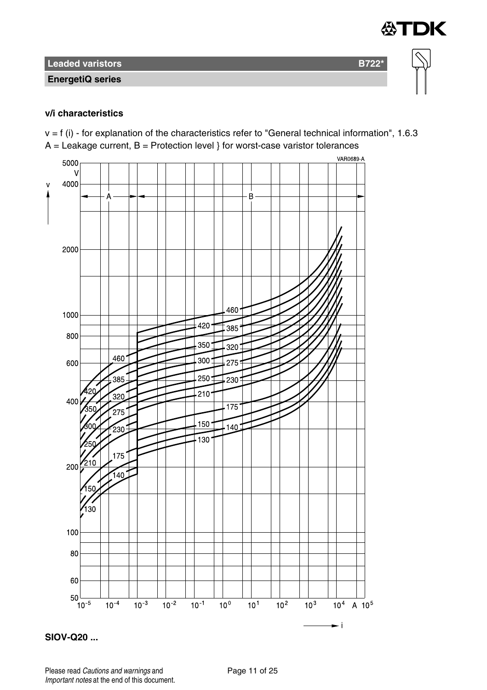**EnergetiQ series**

### **v/i characteristics**

 $v = f(i)$  - for explanation of the characteristics refer to "General technical information", 1.6.3  $A =$  Leakage current,  $B =$  Protection level } for worst-case varistor tolerances

∜TDK



**SIOV-Q20 ...**

Please read Cautions and warnings and <br>
Page 11 of 25 Important notes at the end of this document.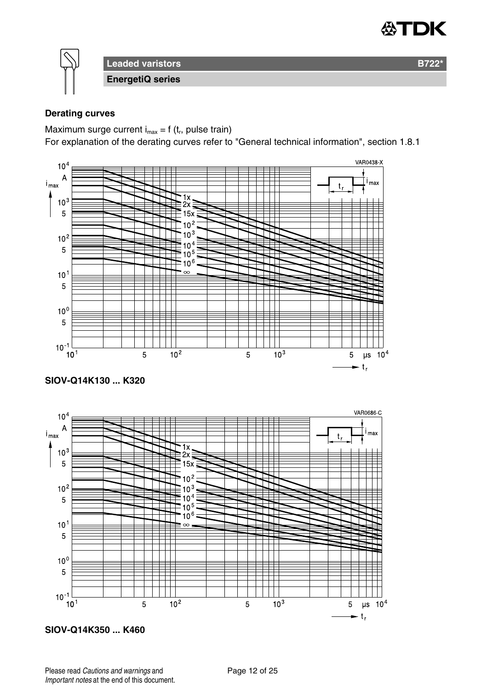

**Leaded varistors B722\* EnergetiQ series**

# **Derating curves**

Maximum surge current  $i_{max} = f(t_r)$ , pulse train)

For explanation of the derating curves refer to "General technical information", section 1.8.1



**SIOV-Q14K350 ... K460**

Please read Cautions and warnings and <br>
Page 12 of 25 Important notes at the end of this document.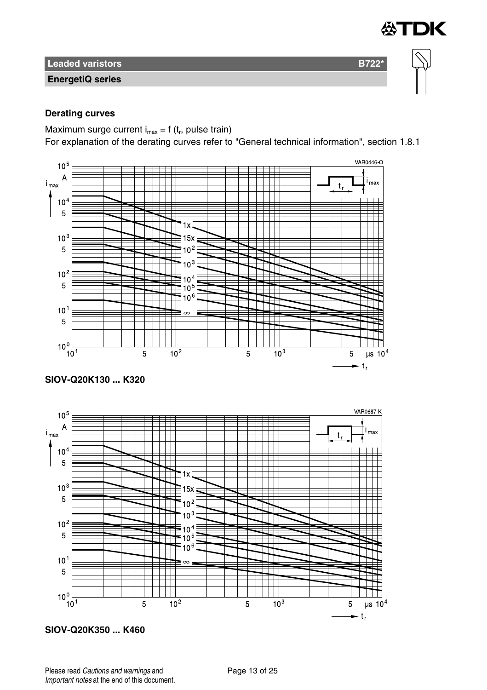**EnergetiQ series**

# **Derating curves**

Maximum surge current  $i_{max} = f(t_r)$ , pulse train)

For explanation of the derating curves refer to "General technical information", section 1.8.1

∰TDK







**SIOV-Q20K350 ... K460**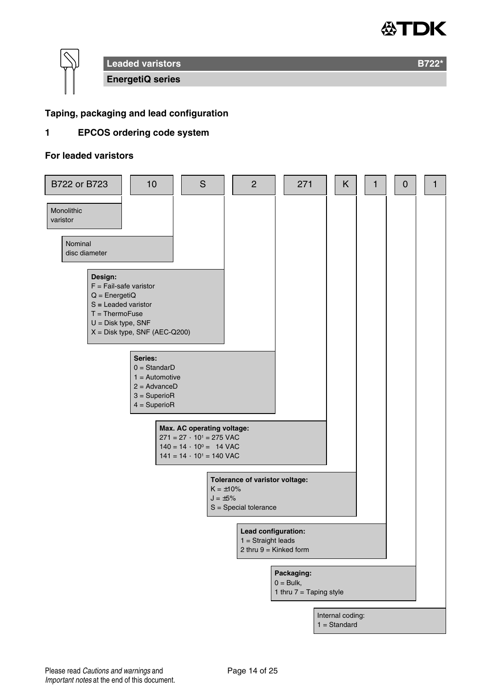



### **Taping, packaging and lead configuration**

# **1 EPCOS ordering code system**

# **For leaded varistors**

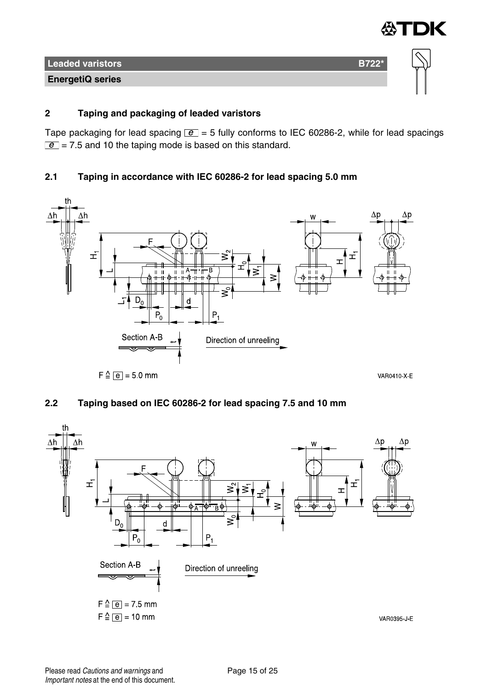

# **2 Taping and packaging of leaded varistors**

Tape packaging for lead spacing  $\boxed{e}$  = 5 fully conforms to IEC 60286-2, while for lead spacings  $\boxed{e}$  = 7.5 and 10 the taping mode is based on this standard.

# **2.1 Taping in accordance with IEC 60286-2 for lead spacing 5.0 mm**



# **2.2 Taping based on IEC 60286-2 for lead spacing 7.5 and 10 mm**

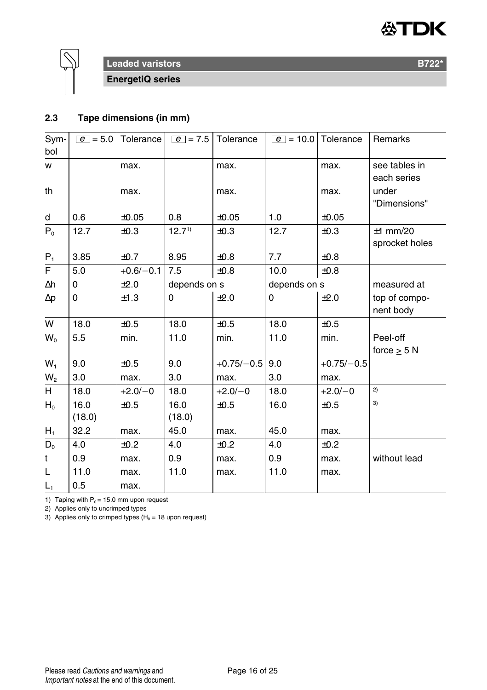



**EnergetiQ series**

# **2.3 Tape dimensions (in mm)**

| Sym-           | $ e  = 5.0$ | Tolerance   | $ e  = 7.5$  | Tolerance    | $\boxed{e}$ = 10.0 Tolerance |              | Remarks          |
|----------------|-------------|-------------|--------------|--------------|------------------------------|--------------|------------------|
| bol            |             |             |              |              |                              |              |                  |
| w              |             | max.        |              | max.         |                              | max.         | see tables in    |
|                |             |             |              |              |                              |              | each series      |
| th             |             | max.        |              | max.         |                              | max.         | under            |
|                |             |             |              |              |                              |              | "Dimensions"     |
| d              | 0.6         | ±0.05       | 0.8          | $\pm 0.05$   | 1.0                          | $\pm 0.05$   |                  |
| $P_0$          | 12.7        | ±0.3        | $12.7^{1}$   | ±0.3         | 12.7                         | ±0.3         | $±1$ mm/20       |
|                |             |             |              |              |                              |              | sprocket holes   |
| $P_1$          | 3.85        | ±0.7        | 8.95         | $\pm 0.8$    | 7.7                          | $\pm 0.8$    |                  |
| F              | 5.0         | $+0.6/-0.1$ | 7.5          | ±0.8         | 10.0                         | $\pm 0.8$    |                  |
| $\Delta h$     | $\Omega$    | ±2.0        | depends on s |              | depends on s                 |              | measured at      |
| $\Delta p$     | 0           | ±1.3        | 0            | ±2.0         | 0                            | ±2.0         | top of compo-    |
|                |             |             |              |              |                              |              | nent body        |
| W              | 18.0        | ±0.5        | 18.0         | ±0.5         | 18.0                         | ±0.5         |                  |
| $W_0$          | 5.5         | min.        | 11.0         | min.         | 11.0                         | min.         | Peel-off         |
|                |             |             |              |              |                              |              | force $\geq$ 5 N |
| $W_1$          | 9.0         | $\pm 0.5$   | 9.0          | $+0.75/-0.5$ | 9.0                          | $+0.75/-0.5$ |                  |
| W <sub>2</sub> | 3.0         | max.        | 3.0          | max.         | 3.0                          | max.         |                  |
| H.             | 18.0        | $+2.0/-0$   | 18.0         | $+2.0/-0$    | 18.0                         | $+2.0/-0$    | 2)               |
| $H_0$          | 16.0        | ±0.5        | 16.0         | ±0.5         | 16.0                         | ±0.5         | 3)               |
|                | (18.0)      |             | (18.0)       |              |                              |              |                  |
| $H_1$          | 32.2        | max.        | 45.0         | max.         | 45.0                         | max.         |                  |
| $D_0$          | 4.0         | ±0.2        | 4.0          | ±0.2         | 4.0                          | ±0.2         |                  |
| t              | 0.9         | max.        | 0.9          | max.         | 0.9                          | max.         | without lead     |
| L              | 11.0        | max.        | 11.0         | max.         | 11.0                         | max.         |                  |
| $L_1$          | 0.5         | max.        |              |              |                              |              |                  |

1) Taping with  $P_0 = 15.0$  mm upon request

2) Applies only to uncrimped types

3) Applies only to crimped types ( $H_0 = 18$  upon request)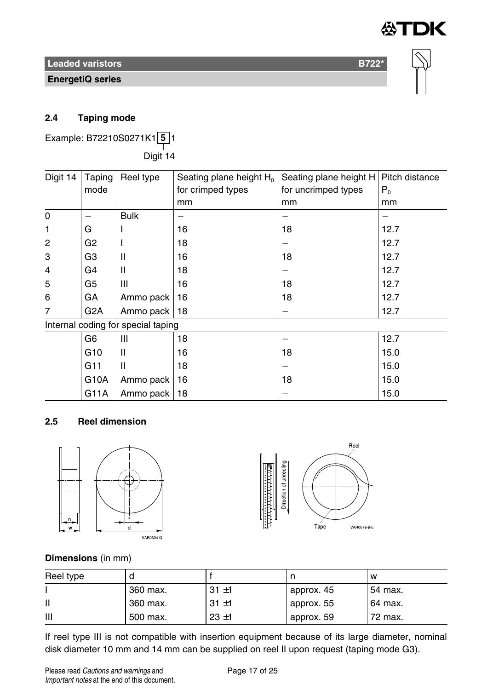

**EnergetiQ series**



# **2.4 Taping mode**

Example: B72210S0271K1 **5** 1 ——<br>Digit 14

Digit 14 Taping mode Reel type  $\left\|$  Seating plane height H<sub>0</sub> for crimped types mm Seating plane height H for uncrimped types mm Pitch distance  $P_0$ mm 0 Bulk 1 | G | I | 16 | 18 | 12.7 2 | G2 | I | 18 | 18 | - | 12.7 3 G3 II 16 18 12.7 4 | G4 | II | 18 | - | - | 12.7 5 | G5 | III | 16 | 18 | 12.7 6 GA Ammo pack 16 18 18 12.7 7 G2A Ammo pack 18 12.7 Internal coding for special taping G6 | III | 18 | - | - | 12.7 G10 |II |16 |18 |15.0 G11 |II |18 |- |15.0 G10A | Ammo pack | 16 | 18 | 18 | 15.0 G11A Ammo pack 18 15.0

# **2.5 Reel dimension**





# **Dimensions** (in mm)

| Reel type |          |          |            | W       |
|-----------|----------|----------|------------|---------|
|           | 360 max. | $31 + 1$ | approx. 45 | 54 max. |
| П         | 360 max. | $31 + 1$ | approx. 55 | 64 max. |
| Ш         | 500 max. | $23 + 1$ | approx. 59 | 72 max. |

If reel type III is not compatible with insertion equipment because of its large diameter, nominal disk diameter 10 mm and 14 mm can be supplied on reel II upon request (taping mode G3).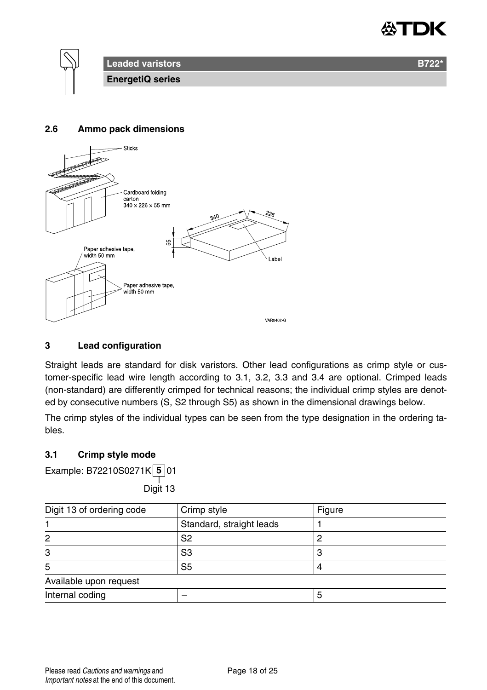



### **2.6 Ammo pack dimensions**



### **3 Lead configuration**

Straight leads are standard for disk varistors. Other lead configurations as crimp style or customer-specific lead wire length according to 3.1, 3.2, 3.3 and 3.4 are optional. Crimped leads (non-standard) are differently crimped for technical reasons; the individual crimp styles are denoted by consecutive numbers (S, S2 through S5) as shown in the dimensional drawings below.

The crimp styles of the individual types can be seen from the type designation in the ordering tables.

### **3.1 Crimp style mode**

Example: B72210S0271K **5** 01

——<br>Digit 13

| Digit 13 of ordering code | Crimp style              | Figure |
|---------------------------|--------------------------|--------|
|                           | Standard, straight leads |        |
| 2                         | S2                       |        |
| 3                         | S <sub>3</sub>           |        |
| 5                         | S <sub>5</sub>           |        |
| Available upon request    |                          |        |
| Internal coding           |                          |        |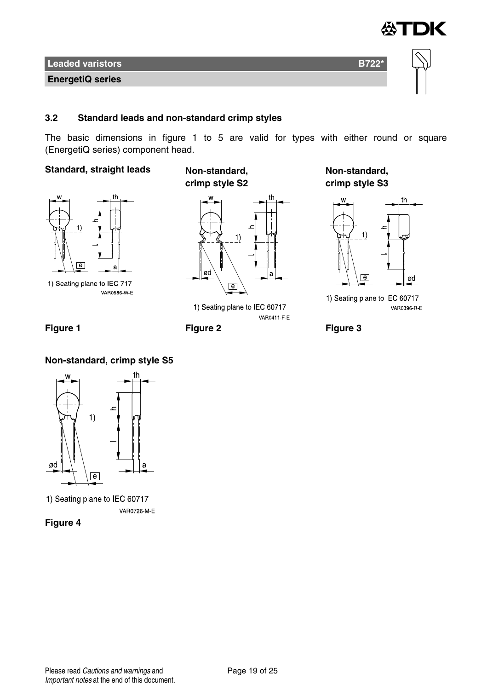

### **3.2 Standard leads and non-standard crimp styles**

The basic dimensions in figure 1 to 5 are valid for types with either round or square (EnergetiQ series) component head.

# **Standard, straight leads Non-standard,**



1) Seating plane to IEC 717 **VAR0586 W E** 





1) Seating plane to IEC 60717 VAR0411 F E

**Non-standard, crimp style S3**



1) Seating plane to IEC 60717 VAR0396 R E



# **Non-standard, crimp style S5**



1) Seating plane to IEC 60717 VAR0726 M-E

**Figure 4**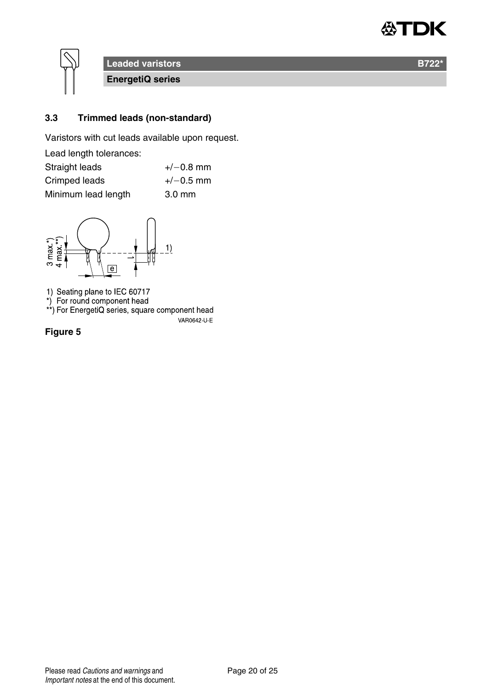



**EnergetiQ series**

# **3.3 Trimmed leads (non-standard)**

Varistors with cut leads available upon request.

| Lead length tolerances: |                  |
|-------------------------|------------------|
| Straight leads          | $+/-0.8$ mm      |
| Crimped leads           | $+/-0.5$ mm      |
| Minimum lead length     | $3.0 \text{ mm}$ |



1) Seating plane to IEC 60717<br>\*) For round component head<br>\*\*) For EnergetiQ series, square component head

VAR0642-U-E

**Figure 5**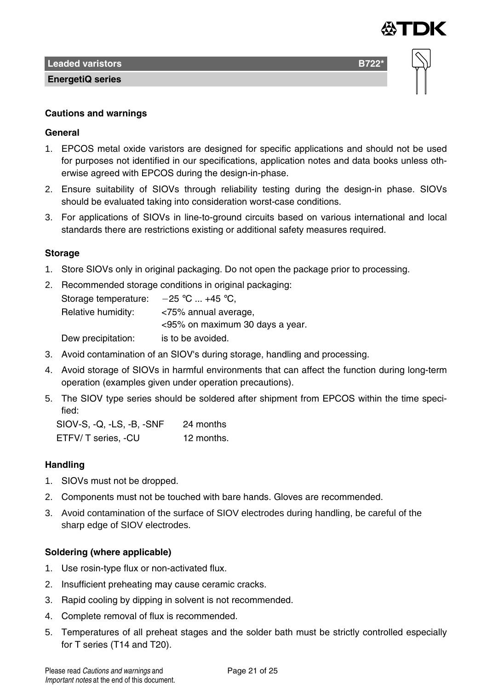

**EnergetiQ series**

### **Cautions and warnings**

### **General**

- 1. EPCOS metal oxide varistors are designed for specific applications and should not be used for purposes not identified in our specifications, application notes and data books unless otherwise agreed with EPCOS during the design-in-phase.
- 2. Ensure suitability of SIOVs through reliability testing during the design-in phase. SIOVs should be evaluated taking into consideration worst-case conditions.
- 3. For applications of SIOVs in line-to-ground circuits based on various international and local standards there are restrictions existing or additional safety measures required.

# **Storage**

- 1. Store SIOVs only in original packaging. Do not open the package prior to processing.
- 2. Recommended storage conditions in original packaging: Storage temperature:  $-25$  °C ... +45 °C, Relative humidity: <75% annual average, <95% on maximum 30 days a year. Dew precipitation: is to be avoided.
- 3. Avoid contamination of an SIOV's during storage, handling and processing.
- 4. Avoid storage of SIOVs in harmful environments that can affect the function during long-term operation (examples given under operation precautions).
- 5. The SIOV type series should be soldered after shipment from EPCOS within the time specified:

SIOV-S, -Q, -LS, -B, -SNF 24 months ETFV/ T series, -CU 12 months.

# **Handling**

- 1. SIOVs must not be dropped.
- 2. Components must not be touched with bare hands. Gloves are recommended.
- 3. Avoid contamination of the surface of SIOV electrodes during handling, be careful of the sharp edge of SIOV electrodes.

### **Soldering (where applicable)**

- 1. Use rosin-type flux or non-activated flux.
- 2. Insufficient preheating may cause ceramic cracks.
- 3. Rapid cooling by dipping in solvent is not recommended.
- 4. Complete removal of flux is recommended.
- 5. Temperatures of all preheat stages and the solder bath must be strictly controlled especially for T series (T14 and T20).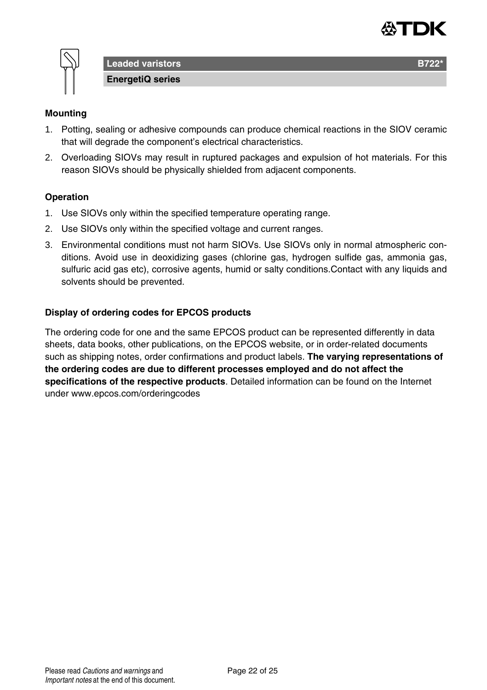



**Leaded varistors B722 EnergetiQ series**

# **Mounting**

- 1. Potting, sealing or adhesive compounds can produce chemical reactions in the SIOV ceramic that will degrade the component's electrical characteristics.
- 2. Overloading SIOVs may result in ruptured packages and expulsion of hot materials. For this reason SIOVs should be physically shielded from adjacent components.

### **Operation**

- 1. Use SIOVs only within the specified temperature operating range.
- 2. Use SIOVs only within the specified voltage and current ranges.
- 3. Environmental conditions must not harm SIOVs. Use SIOVs only in normal atmospheric conditions. Avoid use in deoxidizing gases (chlorine gas, hydrogen sulfide gas, ammonia gas, sulfuric acid gas etc), corrosive agents, humid or salty conditions.Contact with any liquids and solvents should be prevented.

### **Display of ordering codes for EPCOS products**

The ordering code for one and the same EPCOS product can be represented differently in data sheets, data books, other publications, on the EPCOS website, or in order-related documents such as shipping notes, order confirmations and product labels. **The varying representations of the ordering codes are due to different processes employed and do not affect the specifications of the respective products**. Detailed information can be found on the Internet under www.epcos.com/orderingcodes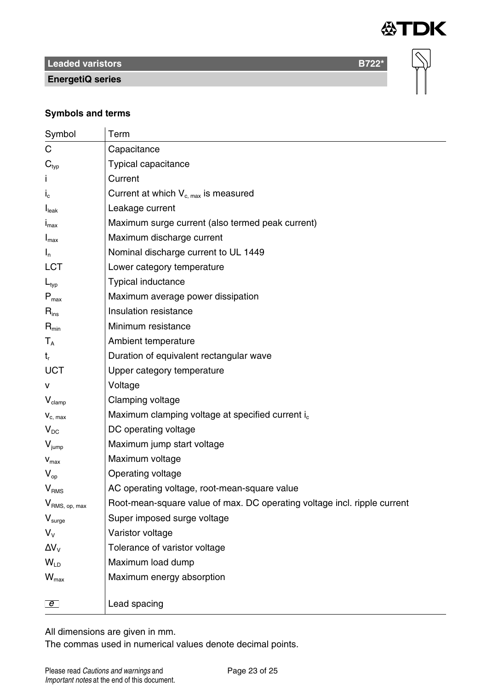

 $\overline{\infty}$ 

# **Leaded varistors B722\***

**EnergetiQ series**

### **Symbols and terms**

| Symbol                      | Term                                                                     |
|-----------------------------|--------------------------------------------------------------------------|
| C                           | Capacitance                                                              |
| $\mathbf{C}_{\text{typ}}$   | Typical capacitance                                                      |
|                             | Current                                                                  |
| $I_{c}$                     | Current at which $V_{c,max}$ is measured                                 |
| $I_{\text{leak}}$           | Leakage current                                                          |
| $I_{\text{max}}$            | Maximum surge current (also termed peak current)                         |
| $I_{\text{max}}$            | Maximum discharge current                                                |
| $I_n$                       | Nominal discharge current to UL 1449                                     |
| LCT                         | Lower category temperature                                               |
| $L_{typ}$                   | Typical inductance                                                       |
| $P_{\text{max}}$            | Maximum average power dissipation                                        |
| $R_{ins}$                   | Insulation resistance                                                    |
| $R_{\text{min}}$            | Minimum resistance                                                       |
| $T_A$                       | Ambient temperature                                                      |
| $t_{r}$                     | Duration of equivalent rectangular wave                                  |
| <b>UCT</b>                  | Upper category temperature                                               |
| v                           | Voltage                                                                  |
| $V_{\text{clamp}}$          | Clamping voltage                                                         |
| $V_{c. max}$                | Maximum clamping voltage at specified current i <sub>c</sub>             |
| $V_{DC}$                    | DC operating voltage                                                     |
| $V_{\text{jump}}$           | Maximum jump start voltage                                               |
| $V_{max}$                   | Maximum voltage                                                          |
| $V_{\rm on}$                | Operating voltage                                                        |
| V <sub>RMS</sub>            | AC operating voltage, root-mean-square value                             |
| V <sub>RMS, op, max</sub>   | Root-mean-square value of max. DC operating voltage incl. ripple current |
| $V_{\text{surface}}$        | Super imposed surge voltage                                              |
| $V_{\rm v}$                 | Varistor voltage                                                         |
| $\Delta V_{\rm V}$          | Tolerance of varistor voltage                                            |
| $W_{\text{ID}}$             | Maximum load dump                                                        |
| $\mathsf{W}_{\mathsf{max}}$ | Maximum energy absorption                                                |
|                             |                                                                          |
| $\overline{e}$              | Lead spacing                                                             |

All dimensions are given in mm.

The commas used in numerical values denote decimal points.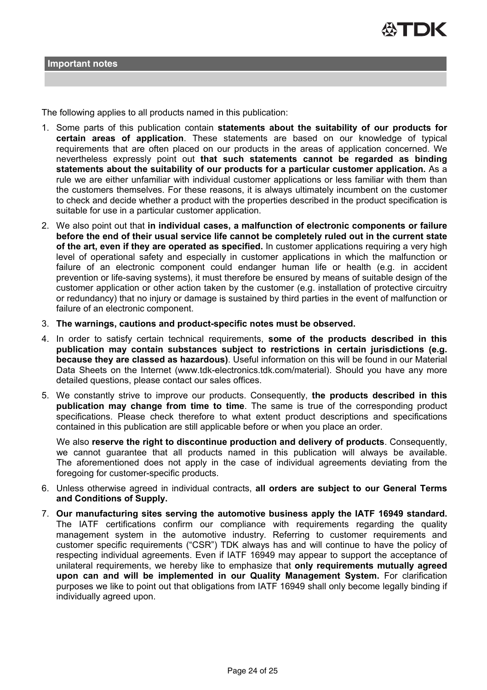

The following applies to all products named in this publication:

- 1. Some parts of this publication contain **statements about the suitability of our products for certain areas of application**. These statements are based on our knowledge of typical requirements that are often placed on our products in the areas of application concerned. We nevertheless expressly point out **that such statements cannot be regarded as binding statements about the suitability of our products for a particular customer application.** As a rule we are either unfamiliar with individual customer applications or less familiar with them than the customers themselves. For these reasons, it is always ultimately incumbent on the customer to check and decide whether a product with the properties described in the product specification is suitable for use in a particular customer application.
- 2. We also point out that **in individual cases, a malfunction of electronic components or failure before the end of their usual service life cannot be completely ruled out in the current state of the art, even if they are operated as specified.** In customer applications requiring a very high level of operational safety and especially in customer applications in which the malfunction or failure of an electronic component could endanger human life or health (e.g. in accident prevention or life-saving systems), it must therefore be ensured by means of suitable design of the customer application or other action taken by the customer (e.g. installation of protective circuitry or redundancy) that no injury or damage is sustained by third parties in the event of malfunction or failure of an electronic component.
- 3. **The warnings, cautions and product-specific notes must be observed.**
- 4. In order to satisfy certain technical requirements, **some of the products described in this publication may contain substances subject to restrictions in certain jurisdictions (e.g. because they are classed as hazardous)**. Useful information on this will be found in our Material Data Sheets on the Internet (www.tdk-electronics.tdk.com/material). Should you have any more detailed questions, please contact our sales offices.
- 5. We constantly strive to improve our products. Consequently, **the products described in this publication may change from time to time**. The same is true of the corresponding product specifications. Please check therefore to what extent product descriptions and specifications contained in this publication are still applicable before or when you place an order.

We also **reserve the right to discontinue production and delivery of products**. Consequently, we cannot guarantee that all products named in this publication will always be available. The aforementioned does not apply in the case of individual agreements deviating from the foregoing for customer-specific products.

- 6. Unless otherwise agreed in individual contracts, **all orders are subject to our General Terms and Conditions of Supply.**
- 7. **Our manufacturing sites serving the automotive business apply the IATF 16949 standard.** The IATF certifications confirm our compliance with requirements regarding the quality management system in the automotive industry. Referring to customer requirements and customer specific requirements ("CSR") TDK always has and will continue to have the policy of respecting individual agreements. Even if IATF 16949 may appear to support the acceptance of unilateral requirements, we hereby like to emphasize that **only requirements mutually agreed upon can and will be implemented in our Quality Management System.** For clarification purposes we like to point out that obligations from IATF 16949 shall only become legally binding if individually agreed upon.